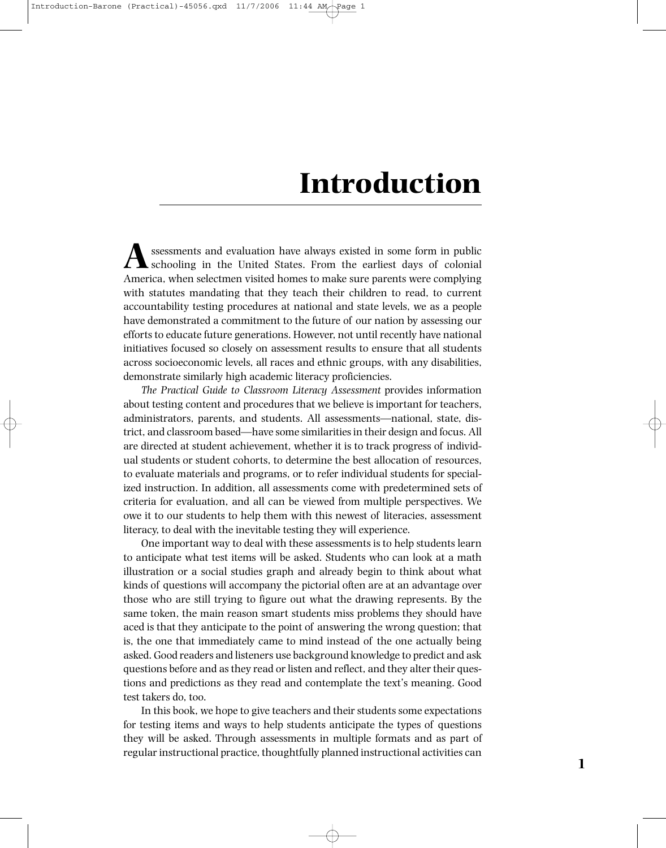## **Introduction**

**A**ssessments and evaluation have always existed in some form in public schooling in the United States. From the earliest days of colonial America, when selectmen visited homes to make sure parents were complying with statutes mandating that they teach their children to read, to current accountability testing procedures at national and state levels, we as a people have demonstrated a commitment to the future of our nation by assessing our efforts to educate future generations. However, not until recently have national initiatives focused so closely on assessment results to ensure that all students across socioeconomic levels, all races and ethnic groups, with any disabilities, demonstrate similarly high academic literacy proficiencies.

*The Practical Guide to Classroom Literacy Assessment* provides information about testing content and procedures that we believe is important for teachers, administrators, parents, and students. All assessments—national, state, district, and classroom based—have some similarities in their design and focus. All are directed at student achievement, whether it is to track progress of individual students or student cohorts, to determine the best allocation of resources, to evaluate materials and programs, or to refer individual students for specialized instruction. In addition, all assessments come with predetermined sets of criteria for evaluation, and all can be viewed from multiple perspectives. We owe it to our students to help them with this newest of literacies, assessment literacy, to deal with the inevitable testing they will experience.

One important way to deal with these assessments is to help students learn to anticipate what test items will be asked. Students who can look at a math illustration or a social studies graph and already begin to think about what kinds of questions will accompany the pictorial often are at an advantage over those who are still trying to figure out what the drawing represents. By the same token, the main reason smart students miss problems they should have aced is that they anticipate to the point of answering the wrong question; that is, the one that immediately came to mind instead of the one actually being asked. Good readers and listeners use background knowledge to predict and ask questions before and as they read or listen and reflect, and they alter their questions and predictions as they read and contemplate the text's meaning. Good test takers do, too.

In this book, we hope to give teachers and their students some expectations for testing items and ways to help students anticipate the types of questions they will be asked. Through assessments in multiple formats and as part of regular instructional practice, thoughtfully planned instructional activities can